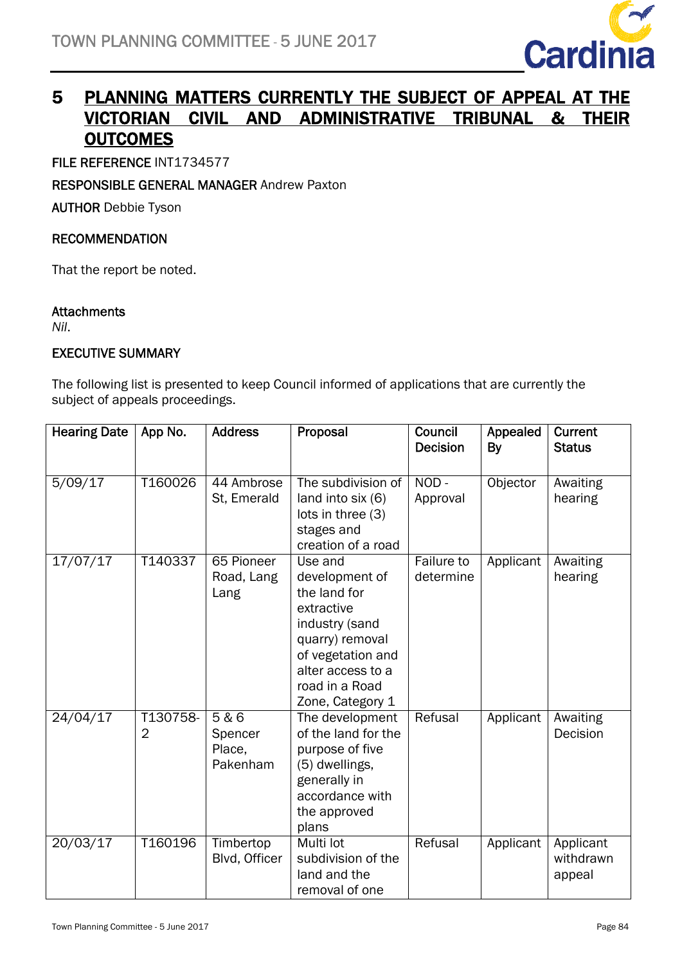

## 5 PLANNING MATTERS CURRENTLY THE SUBJECT OF APPEAL AT THE VICTORIAN CIVIL AND ADMINISTRATIVE TRIBUNAL & THEIR **OUTCOMES**

FILE REFERENCE INT1734577

RESPONSIBLE GENERAL MANAGER Andrew Paxton

AUTHOR Debbie Tyson

## RECOMMENDATION

That the report be noted.

## **Attachments**

*Nil*.

## EXECUTIVE SUMMARY

The following list is presented to keep Council informed of applications that are currently the subject of appeals proceedings.

| <b>Hearing Date</b> | App No.                    | <b>Address</b>                         | Proposal                                                                                                                                                                     | Council<br><b>Decision</b> | Appealed<br>By | <b>Current</b><br><b>Status</b>  |
|---------------------|----------------------------|----------------------------------------|------------------------------------------------------------------------------------------------------------------------------------------------------------------------------|----------------------------|----------------|----------------------------------|
| 5/09/17             | T160026                    | 44 Ambrose                             | The subdivision of                                                                                                                                                           | NOD-                       | Objector       | Awaiting                         |
|                     |                            | St, Emerald                            | land into six (6)<br>lots in three (3)<br>stages and<br>creation of a road                                                                                                   | Approval                   |                | hearing                          |
| 17/07/17            | T140337                    | 65 Pioneer<br>Road, Lang<br>Lang       | Use and<br>development of<br>the land for<br>extractive<br>industry (sand<br>quarry) removal<br>of vegetation and<br>alter access to a<br>road in a Road<br>Zone, Category 1 | Failure to<br>determine    | Applicant      | Awaiting<br>hearing              |
| 24/04/17            | T130758-<br>$\overline{2}$ | 5 & 6<br>Spencer<br>Place,<br>Pakenham | The development<br>of the land for the<br>purpose of five<br>(5) dwellings,<br>generally in<br>accordance with<br>the approved<br>plans                                      | Refusal                    | Applicant      | Awaiting<br>Decision             |
| 20/03/17            | T160196                    | Timbertop<br>Blvd, Officer             | Multi lot<br>subdivision of the<br>land and the<br>removal of one                                                                                                            | Refusal                    | Applicant      | Applicant<br>withdrawn<br>appeal |